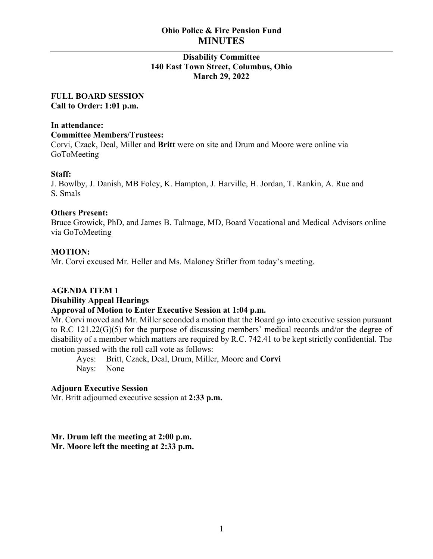# **Ohio Police & Fire Pension Fund MINUTES**

# **Disability Committee 140 East Town Street, Columbus, Ohio March 29, 2022**

#### **FULL BOARD SESSION Call to Order: 1:01 p.m.**

# **In attendance:**

#### **Committee Members/Trustees:**

Corvi, Czack, Deal, Miller and **Britt** were on site and Drum and Moore were online via GoToMeeting

# **Staff:**

J. Bowlby, J. Danish, MB Foley, K. Hampton, J. Harville, H. Jordan, T. Rankin, A. Rue and S. Smals

#### **Others Present:**

Bruce Growick, PhD, and James B. Talmage, MD, Board Vocational and Medical Advisors online via GoToMeeting

# **MOTION:**

Mr. Corvi excused Mr. Heller and Ms. Maloney Stifler from today's meeting.

# **AGENDA ITEM 1**

# **Disability Appeal Hearings**

# **Approval of Motion to Enter Executive Session at 1:04 p.m.**

Mr. Corvi moved and Mr. Miller seconded a motion that the Board go into executive session pursuant to R.C 121.22(G)(5) for the purpose of discussing members' medical records and/or the degree of disability of a member which matters are required by R.C. 742.41 to be kept strictly confidential. The motion passed with the roll call vote as follows:

Ayes: Britt, Czack, Deal, Drum, Miller, Moore and **Corvi** Nays: None

#### **Adjourn Executive Session**

Mr. Britt adjourned executive session at **2:33 p.m.**

#### **Mr. Drum left the meeting at 2:00 p.m. Mr. Moore left the meeting at 2:33 p.m.**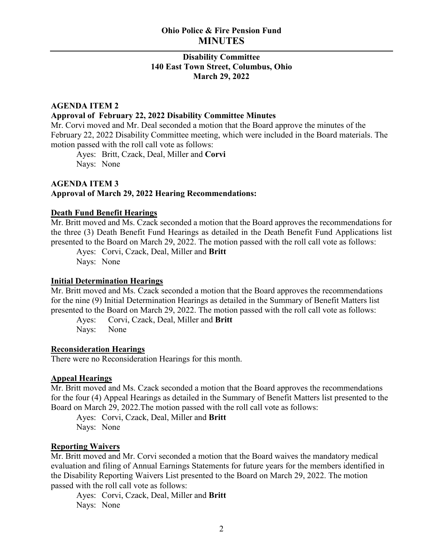# **Disability Committee 140 East Town Street, Columbus, Ohio March 29, 2022**

#### **AGENDA ITEM 2**

#### **Approval of February 22, 2022 Disability Committee Minutes**

Mr. Corvi moved and Mr. Deal seconded a motion that the Board approve the minutes of the February 22, 2022 Disability Committee meeting, which were included in the Board materials. The motion passed with the roll call vote as follows:

Ayes: Britt, Czack, Deal, Miller and **Corvi** Nays: None

#### **AGENDA ITEM 3 Approval of March 29, 2022 Hearing Recommendations:**

#### **Death Fund Benefit Hearings**

Mr. Britt moved and Ms. Czack seconded a motion that the Board approves the recommendations for the three (3) Death Benefit Fund Hearings as detailed in the Death Benefit Fund Applications list presented to the Board on March 29, 2022. The motion passed with the roll call vote as follows:

Ayes: Corvi, Czack, Deal, Miller and **Britt** Nays: None

#### **Initial Determination Hearings**

Mr. Britt moved and Ms. Czack seconded a motion that the Board approves the recommendations for the nine (9) Initial Determination Hearings as detailed in the Summary of Benefit Matters list presented to the Board on March 29, 2022. The motion passed with the roll call vote as follows:

Ayes: Corvi, Czack, Deal, Miller and **Britt**

Nays: None

#### **Reconsideration Hearings**

There were no Reconsideration Hearings for this month.

#### **Appeal Hearings**

Mr. Britt moved and Ms. Czack seconded a motion that the Board approves the recommendations for the four (4) Appeal Hearings as detailed in the Summary of Benefit Matters list presented to the Board on March 29, 2022.The motion passed with the roll call vote as follows:

Ayes: Corvi, Czack, Deal, Miller and **Britt** Nays: None

#### **Reporting Waivers**

Mr. Britt moved and Mr. Corvi seconded a motion that the Board waives the mandatory medical evaluation and filing of Annual Earnings Statements for future years for the members identified in the Disability Reporting Waivers List presented to the Board on March 29, 2022. The motion passed with the roll call vote as follows:

Ayes: Corvi, Czack, Deal, Miller and **Britt** Nays: None